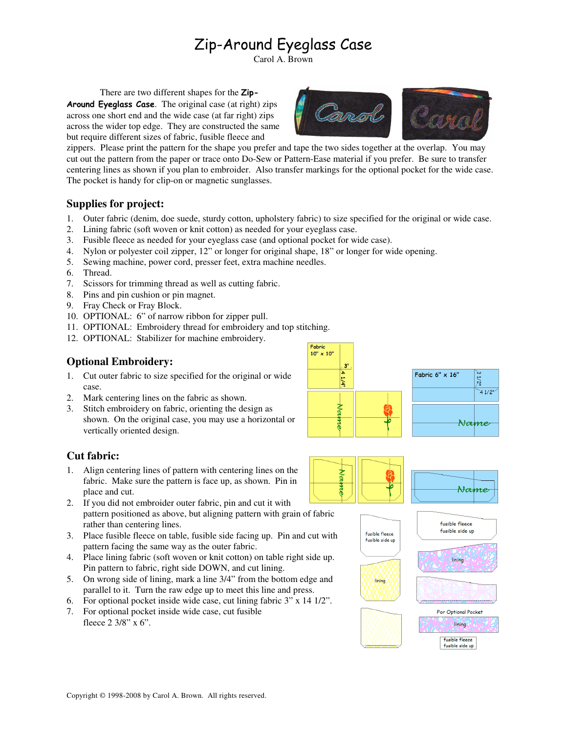# Zip-Around Eyeglass Case

Carol A. Brown

There are two different shapes for the Zip-Around Eyeglass Case. The original case (at right) zips across one short end and the wide case (at far right) zips across the wider top edge. They are constructed the same but require different sizes of fabric, fusible fleece and



zippers. Please print the pattern for the shape you prefer and tape the two sides together at the overlap. You may cut out the pattern from the paper or trace onto Do-Sew or Pattern-Ease material if you prefer. Be sure to transfer centering lines as shown if you plan to embroider. Also transfer markings for the optional pocket for the wide case. The pocket is handy for clip-on or magnetic sunglasses.

### **Supplies for project:**

- 1. Outer fabric (denim, doe suede, sturdy cotton, upholstery fabric) to size specified for the original or wide case.
- 2. Lining fabric (soft woven or knit cotton) as needed for your eyeglass case.
- 3. Fusible fleece as needed for your eyeglass case (and optional pocket for wide case).
- 4. Nylon or polyester coil zipper, 12" or longer for original shape, 18" or longer for wide opening.
- 5. Sewing machine, power cord, presser feet, extra machine needles.
- 6. Thread.
- 7. Scissors for trimming thread as well as cutting fabric.
- 8. Pins and pin cushion or pin magnet.
- 9. Fray Check or Fray Block.
- 10. OPTIONAL: 6" of narrow ribbon for zipper pull.
- 11. OPTIONAL: Embroidery thread for embroidery and top stitching.
- 12. OPTIONAL: Stabilizer for machine embroidery.

## **Optional Embroidery:**

- 1. Cut outer fabric to size specified for the original or wide case.
- 2. Mark centering lines on the fabric as shown.
- 3. Stitch embroidery on fabric, orienting the design as shown. On the original case, you may use a horizontal or vertically oriented design.



# **Cut fabric:**

- 1. Align centering lines of pattern with centering lines on the fabric. Make sure the pattern is face up, as shown. Pin in place and cut.
- 2. If you did not embroider outer fabric, pin and cut it with pattern positioned as above, but aligning pattern with grain of fabric rather than centering lines.
- 3. Place fusible fleece on table, fusible side facing up. Pin and cut with pattern facing the same way as the outer fabric.
- 4. Place lining fabric (soft woven or knit cotton) on table right side up. Pin pattern to fabric, right side DOWN, and cut lining.
- 5. On wrong side of lining, mark a line 3/4" from the bottom edge and parallel to it. Turn the raw edge up to meet this line and press.
- 6. For optional pocket inside wide case, cut lining fabric 3" x 14 1/2".
- 7. For optional pocket inside wide case, cut fusible fleece 2 3/8" x 6".





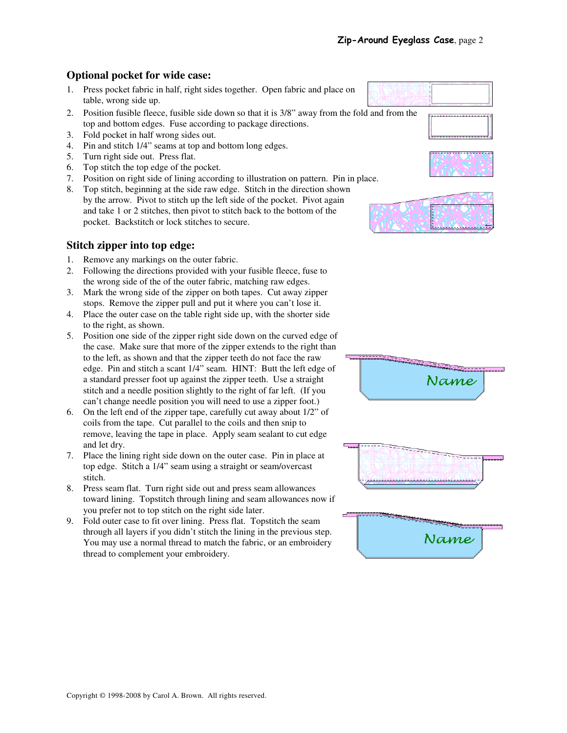#### **Optional pocket for wide case:**

- 1. Press pocket fabric in half, right sides together. Open fabric and place on table, wrong side up.
- 2. Position fusible fleece, fusible side down so that it is 3/8" away from the fold and from the top and bottom edges. Fuse according to package directions.
- 3. Fold pocket in half wrong sides out.
- 4. Pin and stitch 1/4" seams at top and bottom long edges.
- 5. Turn right side out. Press flat.
- 6. Top stitch the top edge of the pocket.
- 7. Position on right side of lining according to illustration on pattern. Pin in place.



#### **Stitch zipper into top edge:**

- 1. Remove any markings on the outer fabric.
- 2. Following the directions provided with your fusible fleece, fuse to the wrong side of the of the outer fabric, matching raw edges.
- 3. Mark the wrong side of the zipper on both tapes. Cut away zipper stops. Remove the zipper pull and put it where you can't lose it.
- 4. Place the outer case on the table right side up, with the shorter side to the right, as shown.
- 5. Position one side of the zipper right side down on the curved edge of the case. Make sure that more of the zipper extends to the right than to the left, as shown and that the zipper teeth do not face the raw edge. Pin and stitch a scant 1/4" seam. HINT: Butt the left edge of a standard presser foot up against the zipper teeth. Use a straight stitch and a needle position slightly to the right of far left. (If you can't change needle position you will need to use a zipper foot.)
- 6. On the left end of the zipper tape, carefully cut away about 1/2" of coils from the tape. Cut parallel to the coils and then snip to remove, leaving the tape in place. Apply seam sealant to cut edge and let dry.
- 7. Place the lining right side down on the outer case. Pin in place at top edge. Stitch a 1/4" seam using a straight or seam/overcast stitch.
- 8. Press seam flat. Turn right side out and press seam allowances toward lining. Topstitch through lining and seam allowances now if you prefer not to top stitch on the right side later.
- 9. Fold outer case to fit over lining. Press flat. Topstitch the seam through all layers if you didn't stitch the lining in the previous step. You may use a normal thread to match the fabric, or an embroidery thread to complement your embroidery.









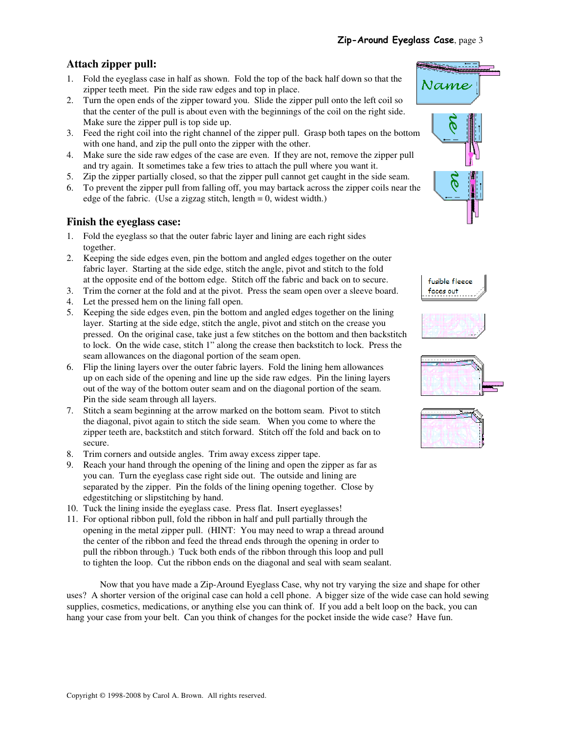# **Attach zipper pull:**

- 1. Fold the eyeglass case in half as shown. Fold the top of the back half down so that the zipper teeth meet. Pin the side raw edges and top in place.
- 2. Turn the open ends of the zipper toward you. Slide the zipper pull onto the left coil so that the center of the pull is about even with the beginnings of the coil on the right side. Make sure the zipper pull is top side up.
- 3. Feed the right coil into the right channel of the zipper pull. Grasp both tapes on the bottom with one hand, and zip the pull onto the zipper with the other.
- 4. Make sure the side raw edges of the case are even. If they are not, remove the zipper pull and try again. It sometimes take a few tries to attach the pull where you want it.
- 5. Zip the zipper partially closed, so that the zipper pull cannot get caught in the side seam. 6. To prevent the zipper pull from falling off, you may bartack across the zipper coils near the
- edge of the fabric. (Use a zigzag stitch, length  $= 0$ , widest width.)

# **Finish the eyeglass case:**

- 1. Fold the eyeglass so that the outer fabric layer and lining are each right sides together.
- 2. Keeping the side edges even, pin the bottom and angled edges together on the outer fabric layer. Starting at the side edge, stitch the angle, pivot and stitch to the fold at the opposite end of the bottom edge. Stitch off the fabric and back on to secure.
- 3. Trim the corner at the fold and at the pivot. Press the seam open over a sleeve board.
- 4. Let the pressed hem on the lining fall open.
- 5. Keeping the side edges even, pin the bottom and angled edges together on the lining layer. Starting at the side edge, stitch the angle, pivot and stitch on the crease you pressed. On the original case, take just a few stitches on the bottom and then backstitch to lock. On the wide case, stitch 1" along the crease then backstitch to lock. Press the seam allowances on the diagonal portion of the seam open.
- 6. Flip the lining layers over the outer fabric layers. Fold the lining hem allowances up on each side of the opening and line up the side raw edges. Pin the lining layers out of the way of the bottom outer seam and on the diagonal portion of the seam. Pin the side seam through all layers.
- 7. Stitch a seam beginning at the arrow marked on the bottom seam. Pivot to stitch the diagonal, pivot again to stitch the side seam. When you come to where the zipper teeth are, backstitch and stitch forward. Stitch off the fold and back on to secure.
- 8. Trim corners and outside angles. Trim away excess zipper tape.
- 9. Reach your hand through the opening of the lining and open the zipper as far as you can. Turn the eyeglass case right side out. The outside and lining are separated by the zipper. Pin the folds of the lining opening together. Close by edgestitching or slipstitching by hand.
- 10. Tuck the lining inside the eyeglass case. Press flat. Insert eyeglasses!
- 11. For optional ribbon pull, fold the ribbon in half and pull partially through the opening in the metal zipper pull. (HINT: You may need to wrap a thread around the center of the ribbon and feed the thread ends through the opening in order to pull the ribbon through.) Tuck both ends of the ribbon through this loop and pull to tighten the loop. Cut the ribbon ends on the diagonal and seal with seam sealant.

Now that you have made a Zip-Around Eyeglass Case, why not try varying the size and shape for other uses? A shorter version of the original case can hold a cell phone. A bigger size of the wide case can hold sewing supplies, cosmetics, medications, or anything else you can think of. If you add a belt loop on the back, you can hang your case from your belt. Can you think of changes for the pocket inside the wide case? Have fun.









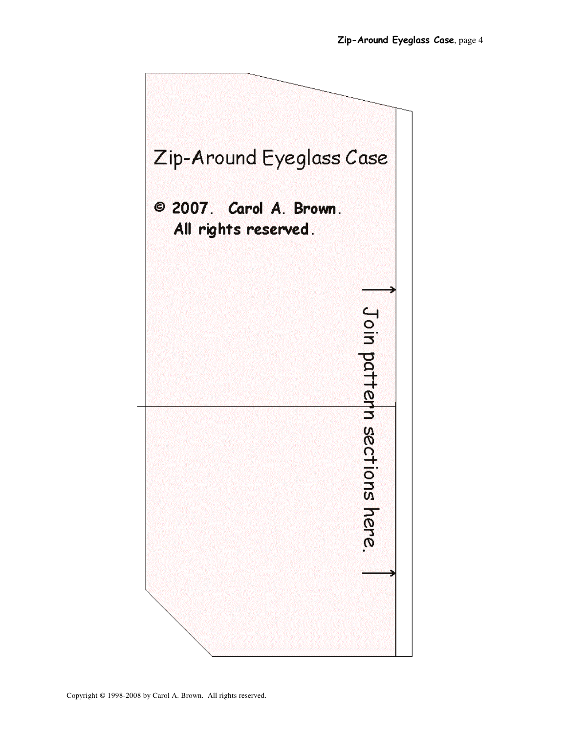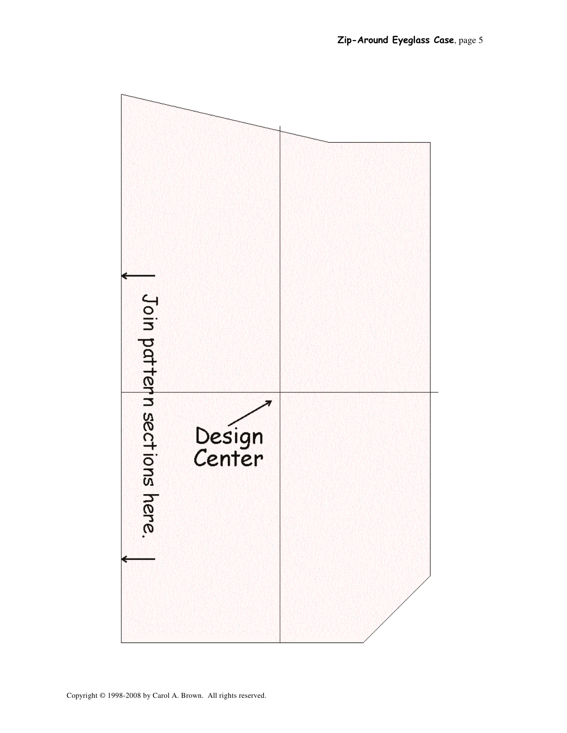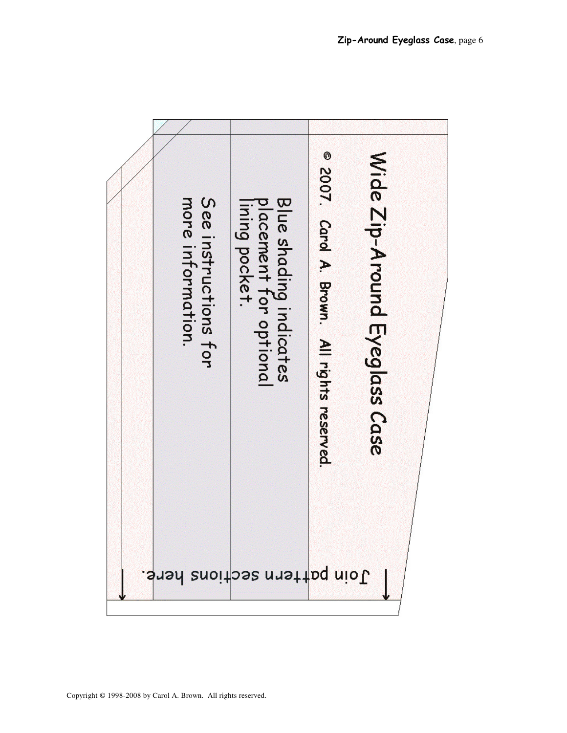